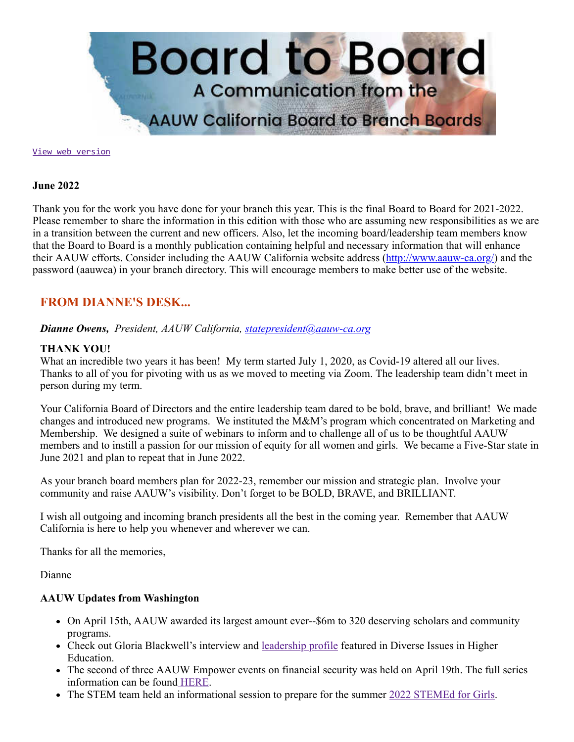

[View web version](https://bor.aauw-ca.org/sendy/w/DQmeHMFa9xBEG3pXrm892tdw)

#### **June 2022**

Thank you for the work you have done for your branch this year. This is the final Board to Board for 2021-2022. Please remember to share the information in this edition with those who are assuming new responsibilities as we are in a transition between the current and new officers. Also, let the incoming board/leadership team members know that the Board to Board is a monthly publication containing helpful and necessary information that will enhance their AAUW efforts. Consider including the AAUW California website address (<http://www.aauw-ca.org/>) and the password (aauwca) in your branch directory. This will encourage members to make better use of the website.

## **FROM DIANNE'S DESK...**

*Dianne Owens, President, AAUW California, [statepresident@aauw-ca.org](mailto:statepresident@aauw-ca.org)*

### **THANK YOU!**

What an incredible two years it has been! My term started July 1, 2020, as Covid-19 altered all our lives. Thanks to all of you for pivoting with us as we moved to meeting via Zoom. The leadership team didn't meet in person during my term.

Your California Board of Directors and the entire leadership team dared to be bold, brave, and brilliant! We made changes and introduced new programs. We instituted the M&M's program which concentrated on Marketing and Membership. We designed a suite of webinars to inform and to challenge all of us to be thoughtful AAUW members and to instill a passion for our mission of equity for all women and girls. We became a Five-Star state in June 2021 and plan to repeat that in June 2022.

As your branch board members plan for 2022-23, remember our mission and strategic plan. Involve your community and raise AAUW's visibility. Don't forget to be BOLD, BRAVE, and BRILLIANT.

I wish all outgoing and incoming branch presidents all the best in the coming year. Remember that AAUW California is here to help you whenever and wherever we can.

Thanks for all the memories,

Dianne

### **AAUW Updates from Washington**

- On April 15th, AAUW awarded its largest amount ever--\$6m to 320 deserving scholars and community programs.
- Check out Gloria Blackwell's interview and [leadership profile](https://www.diverseeducation.com/leadership-policy/article/15291195/there-needs-to-be-a-reckoning-aauws-ceo-gloria-blackwell-on-gender-equity-in-higher-education-leadership) featured in Diverse Issues in Higher Education.
- The second of three AAUW Empower events on financial security was held on April 19th. The full series information can be found [HERE.](https://www.aauw.org/resources/programs/empower/)
- The STEM team held an informational session to prepare for the summer [2022 STEMEd for Girls.](https://www.aauw.org/resources/programs/stemed-for-girls/)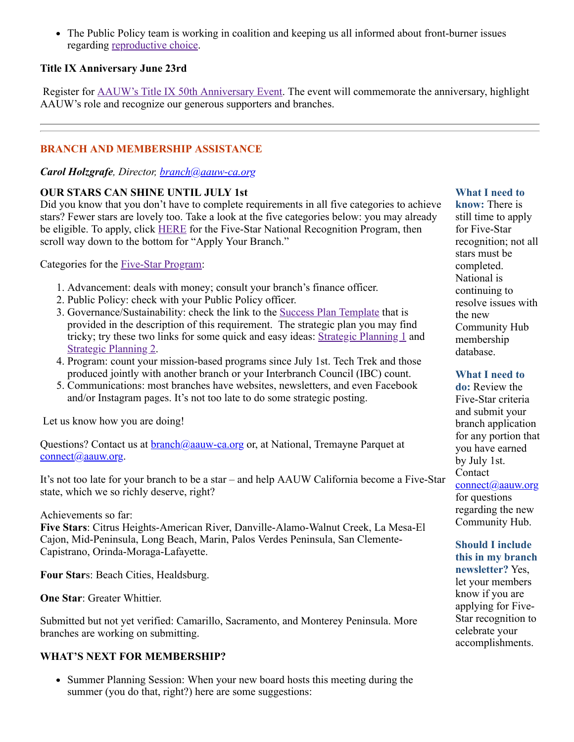• The Public Policy team is working in coalition and keeping us all informed about front-burner issues regarding [reproductive choice](https://www.aauw.org/resources/policy/rallying-for-abortion-rights/).

## **Title IX Anniversary June 23rd**

Register for [AAUW's Title IX 50th Anniversary Event](https://us02web.zoom.us/webinar/register/WN_plHsRyu4RrSeaYPkItm3Sw). The event will commemorate the anniversary, highlight AAUW's role and recognize our generous supporters and branches.

## **BRANCH AND MEMBERSHIP ASSISTANCE**

### *Carol Holzgrafe, Director, [branch@aauw-ca.org](mailto:branch@aauw-ca.org)*

### **OUR STARS CAN SHINE UNTIL JULY 1st**

Did you know that you don't have to complete requirements in all five categories to achieve stars? Fewer stars are lovely too. Take a look at the five categories below: you may already be eligible. To apply, click [HERE](https://www.aauw.org/resources/member/initiatives/5-star-program/) for the Five-Star National Recognition Program, then scroll way down to the bottom for "Apply Your Branch."

Categories for the [Five-Star Program](https://www.aauw.org/resources/member/initiatives/5-star-program/):

- 1. Advancement: deals with money; consult your branch's finance officer.
- 2. Public Policy: check with your Public Policy officer.
- 3. Governance/Sustainability: check the link to the [Success Plan Template](https://www.aauw.org/resources/member/initiatives/5-star-program/) that is provided in the description of this requirement. The strategic plan you may find tricky; try these two links for some quick and easy ideas: [Strategic Planning 1](https://www.aauw-ca.org/Assets/resources/Strategic_Planning_2016.pdf) and [Strategic Planning 2](https://aauw-ca.org/wp-content/uploads/2016/09/Strategic_Planning_Handout.pdf).
- 4. Program: count your mission-based programs since July 1st. Tech Trek and those produced jointly with another branch or your Interbranch Council (IBC) count.
- 5. Communications: most branches have websites, newsletters, and even Facebook and/or Instagram pages. It's not too late to do some strategic posting.

Let us know how you are doing!

Questions? Contact us at [branch@aauw-ca.org](mailto:branch@aauw-ca.org) or, at National, Tremayne Parquet at [connect@aauw.org](mailto:connect@aauw.org).

It's not too late for your branch to be a star – and help AAUW California become a Five-Star state, which we so richly deserve, right?

### Achievements so far:

**Five Stars**: Citrus Heights-American River, Danville-Alamo-Walnut Creek, La Mesa-El Cajon, Mid-Peninsula, Long Beach, Marin, Palos Verdes Peninsula, San Clemente-Capistrano, Orinda-Moraga-Lafayette.

**Four Star**s: Beach Cities, Healdsburg.

**One Star**: Greater Whittier.

Submitted but not yet verified: Camarillo, Sacramento, and Monterey Peninsula. More branches are working on submitting.

## **WHAT'S NEXT FOR MEMBERSHIP?**

• Summer Planning Session: When your new board hosts this meeting during the summer (you do that, right?) here are some suggestions:

## **What I need to**

**know:** There is still time to apply for Five-Star recognition; not all stars must be completed. National is continuing to resolve issues with the new Community Hub membership database.

#### **What I need to**

**do:** Review the Five-Star criteria and submit your branch application for any portion that you have earned by July 1st. Contact [connect@aauw.org](mailto:connect@aauw.org) for questions regarding the new Community Hub.

## **Should I include this in my branch**

**newsletter?** Yes, let your members know if you are applying for Five-Star recognition to celebrate your accomplishments.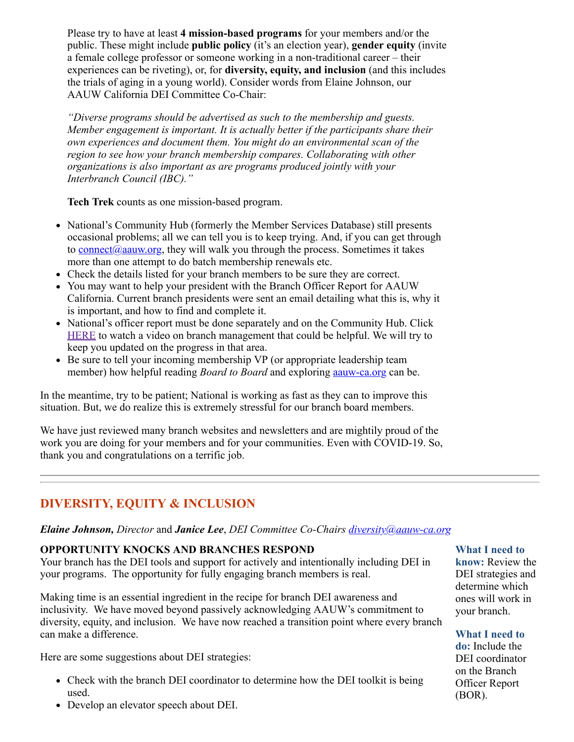Please try to have at least **4 mission-based programs** for your members and/or the public. These might include **public policy** (it's an election year), **gender equity** (invite a female college professor or someone working in a non-traditional career – their experiences can be riveting), or, for **diversity, equity, and inclusion** (and this includes the trials of aging in a young world). Consider words from Elaine Johnson, our AAUW California DEI Committee Co-Chair:

*"Diverse programs should be advertised as such to the membership and guests. Member engagement is important. It is actually better if the participants share their own experiences and document them. You might do an environmental scan of the region to see how your branch membership compares. Collaborating with other organizations is also important as are programs produced jointly with your Interbranch Council (IBC)."*

**Tech Trek** counts as one mission-based program.

- National's Community Hub (formerly the Member Services Database) still presents occasional problems; all we can tell you is to keep trying. And, if you can get through to [connect@aauw.org,](mailto:connect@aauw.org) they will walk you through the process. Sometimes it takes more than one attempt to do batch membership renewals etc.
- Check the details listed for your branch members to be sure they are correct.
- You may want to help your president with the Branch Officer Report for AAUW California. Current branch presidents were sent an email detailing what this is, why it is important, and how to find and complete it.
- National's officer report must be done separately and on the Community Hub. Click [HERE](https://www.aauw.org/membership/new-systems-update/) to watch a video on branch management that could be helpful. We will try to keep you updated on the progress in that area.
- Be sure to tell your incoming membership VP (or appropriate leadership team member) how helpful reading *Board to Board* and exploring [aauw-ca.org](http://aauw-ca.org/) can be.

In the meantime, try to be patient; National is working as fast as they can to improve this situation. But, we do realize this is extremely stressful for our branch board members.

We have just reviewed many branch websites and newsletters and are mightily proud of the work you are doing for your members and for your communities. Even with COVID-19. So, thank you and congratulations on a terrific job.

# **DIVERSITY, EQUITY & INCLUSION**

### *Elaine Johnson, Director* and *Janice Lee*, *DEI Committee Co-Chairs [diversity@aauw-ca.org](mailto:diversity@aauw-ca.org)*

### **OPPORTUNITY KNOCKS AND BRANCHES RESPOND**

Your branch has the DEI tools and support for actively and intentionally including DEI in your programs. The opportunity for fully engaging branch members is real.

Making time is an essential ingredient in the recipe for branch DEI awareness and inclusivity. We have moved beyond passively acknowledging AAUW's commitment to diversity, equity, and inclusion. We have now reached a transition point where every branch can make a difference.

Here are some suggestions about DEI strategies:

- Check with the branch DEI coordinator to determine how the DEI toolkit is being used.
- Develop an elevator speech about DEI.

#### **What I need to**

**know:** Review the DEI strategies and determine which ones will work in your branch.

#### **What I need to**

**do:** Include the DEI coordinator on the Branch Officer Report (BOR).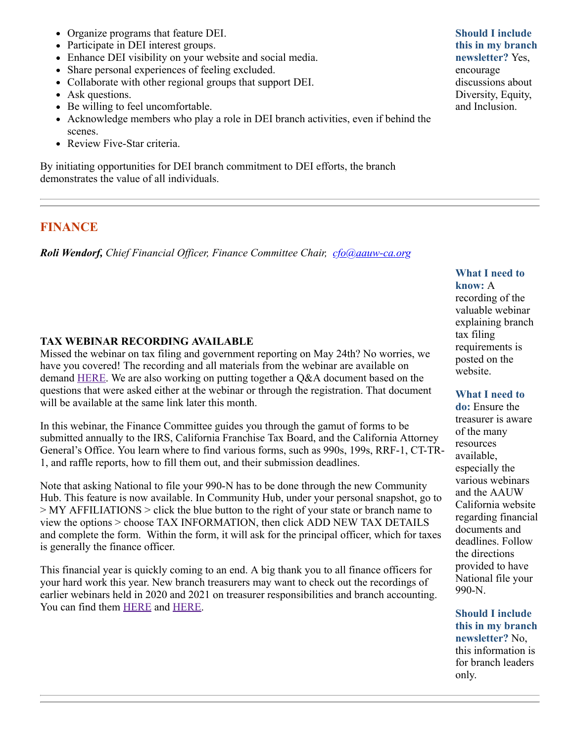- Organize programs that feature DEI.
- Participate in DEI interest groups.
- Enhance DEI visibility on your website and social media.
- Share personal experiences of feeling excluded.
- Collaborate with other regional groups that support DEI.
- Ask questions.
- Be willing to feel uncomfortable.
- Acknowledge members who play a role in DEI branch activities, even if behind the scenes.
- Review Five-Star criteria.

By initiating opportunities for DEI branch commitment to DEI efforts, the branch demonstrates the value of all individuals.

## **FINANCE**

*Roli Wendorf, Chief Financial Officer, Finance Committee Chair, [cfo@aauw-ca.org](mailto:cfo@aauw-ca.org)*

## **TAX WEBINAR RECORDING AVAILABLE**

Missed the webinar on tax filing and government reporting on May 24th? No worries, we have you covered! The recording and all materials from the webinar are available on demand [HERE.](https://www.aauw-ca.org/lets-talk-taxes-government-filings-demystified/) We are also working on putting together a Q&A document based on the questions that were asked either at the webinar or through the registration. That document will be available at the same link later this month.

In this webinar, the Finance Committee guides you through the gamut of forms to be submitted annually to the IRS, California Franchise Tax Board, and the California Attorney General's Office. You learn where to find various forms, such as 990s, 199s, RRF-1, CT-TR-1, and raffle reports, how to fill them out, and their submission deadlines.

Note that asking National to file your 990-N has to be done through the new Community Hub. This feature is now available. In Community Hub, under your personal snapshot, go to > MY AFFILIATIONS > click the blue button to the right of your state or branch name to view the options > choose TAX INFORMATION, then click ADD NEW TAX DETAILS and complete the form. Within the form, it will ask for the principal officer, which for taxes is generally the finance officer.

This financial year is quickly coming to an end. A big thank you to all finance officers for your hard work this year. New branch treasurers may want to check out the recordings of earlier webinars held in 2020 and 2021 on treasurer responsibilities and branch accounting. You can find them **HERE** and **HERE**.

### **Should I include this in my branch newsletter?** Yes, encourage discussions about Diversity, Equity, and Inclusion.

### **What I need to know:** A

recording of the valuable webinar explaining branch tax filing requirements is posted on the website.

### **What I need to**

**do:** Ensure the treasurer is aware of the many resources available, especially the various webinars and the AAUW California website regarding financial documents and deadlines. Follow the directions provided to have National file your 990-N.

**Should I include this in my branch newsletter?** No, this information is for branch leaders only.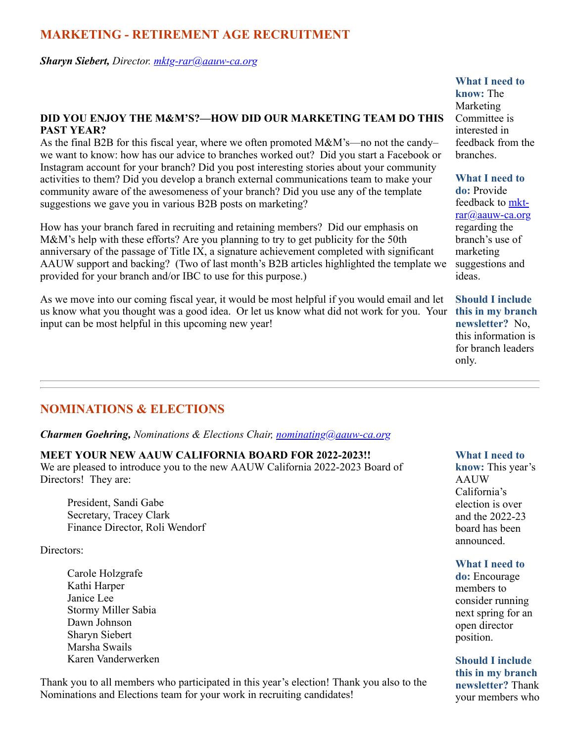## **MARKETING - RETIREMENT AGE RECRUITMENT**

#### *Sharyn Siebert, Director. [mktg-rar@aauw-ca.org](mailto:mktg-rar@aauw-ca.org)*

### **DID YOU ENJOY THE M&M'S?—HOW DID OUR MARKETING TEAM DO THIS PAST YEAR?**

As the final B2B for this fiscal year, where we often promoted M&M's—no not the candy– we want to know: how has our advice to branches worked out? Did you start a Facebook or Instagram account for your branch? Did you post interesting stories about your community activities to them? Did you develop a branch external communications team to make your community aware of the awesomeness of your branch? Did you use any of the template suggestions we gave you in various B2B posts on marketing?

How has your branch fared in recruiting and retaining members? Did our emphasis on M&M's help with these efforts? Are you planning to try to get publicity for the 50th anniversary of the passage of Title IX, a signature achievement completed with significant AAUW support and backing? (Two of last month's B2B articles highlighted the template we provided for your branch and/or IBC to use for this purpose.)

As we move into our coming fiscal year, it would be most helpful if you would email and let us know what you thought was a good idea. Or let us know what did not work for you. Your **this in my branch** input can be most helpful in this upcoming new year!

## **NOMINATIONS & ELECTIONS**

#### *Charmen Goehring, Nominations & Elections Chair, [nominating@aauw-ca.org](mailto:nominating@aauw-ca.org)*

#### **MEET YOUR NEW AAUW CALIFORNIA BOARD FOR 2022-2023!!**

We are pleased to introduce you to the new AAUW California 2022-2023 Board of Directors! They are:

President, Sandi Gabe Secretary, Tracey Clark Finance Director, Roli Wendorf

Directors:

Carole Holzgrafe Kathi Harper Janice Lee Stormy Miller Sabia Dawn Johnson Sharyn Siebert Marsha Swails Karen Vanderwerken

Thank you to all members who participated in this year's election! Thank you also to the Nominations and Elections team for your work in recruiting candidates!

### **What I need to**

**know:** The Marketing Committee is interested in feedback from the branches.

**What I need to do:** Provide [feedback to mkt](mailto:mkt-rar@aauw-ca.org)rar@aauw-ca.org regarding the branch's use of marketing suggestions and ideas.

**Should I include newsletter?** No, this information is for branch leaders only.

#### **What I need to**

**know:** This year's AAUW California's election is over and the 2022-23 board has been announced.

#### **What I need to**

**do:** Encourage members to consider running next spring for an open director position.

**Should I include this in my branch newsletter?** Thank your members who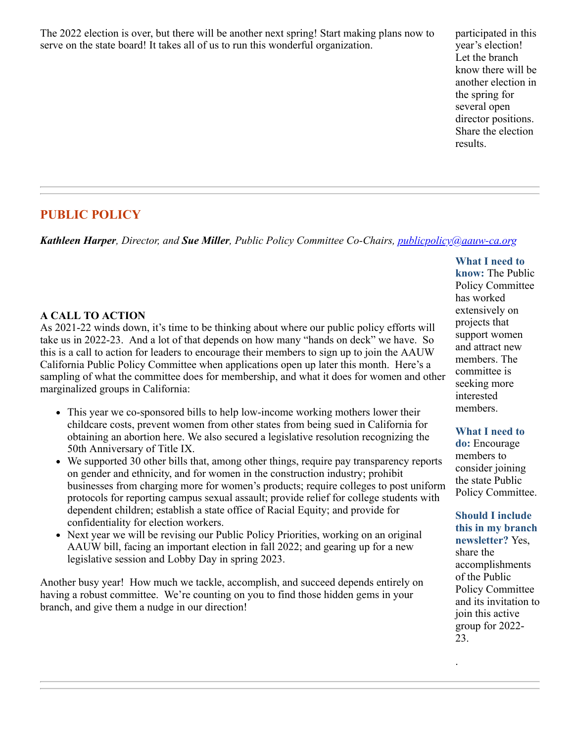The 2022 election is over, but there will be another next spring! Start making plans now to serve on the state board! It takes all of us to run this wonderful organization.

participated in this year's election! Let the branch know there will be another election in the spring for several open director positions. Share the election results.

# **PUBLIC POLICY**

*Kathleen Harper, Director, and Sue Miller, Public Policy Committee Co-Chairs, [publicpolicy@aauw-ca.org](mailto:PublicPolicy@aauw-ca.org)*

## **A CALL TO ACTION**

As 2021-22 winds down, it's time to be thinking about where our public policy efforts will take us in 2022-23. And a lot of that depends on how many "hands on deck" we have. So this is a call to action for leaders to encourage their members to sign up to join the AAUW California Public Policy Committee when applications open up later this month. Here's a sampling of what the committee does for membership, and what it does for women and other marginalized groups in California:

- This year we co-sponsored bills to help low-income working mothers lower their childcare costs, prevent women from other states from being sued in California for obtaining an abortion here. We also secured a legislative resolution recognizing the 50th Anniversary of Title IX.
- We supported 30 other bills that, among other things, require pay transparency reports on gender and ethnicity, and for women in the construction industry; prohibit businesses from charging more for women's products; require colleges to post uniform protocols for reporting campus sexual assault; provide relief for college students with dependent children; establish a state office of Racial Equity; and provide for confidentiality for election workers.
- Next year we will be revising our Public Policy Priorities, working on an original AAUW bill, facing an important election in fall 2022; and gearing up for a new legislative session and Lobby Day in spring 2023.

Another busy year! How much we tackle, accomplish, and succeed depends entirely on having a robust committee. We're counting on you to find those hidden gems in your branch, and give them a nudge in our direction!

**What I need to know:** The Public Policy Committee has worked extensively on projects that support women and attract new members. The committee is seeking more interested members.

### **What I need to**

**do:** Encourage members to consider joining the state Public Policy Committee.

**Should I include this in my branch newsletter?** Yes, share the accomplishments of the Public Policy Committee and its invitation to join this active group for 2022- 23.

.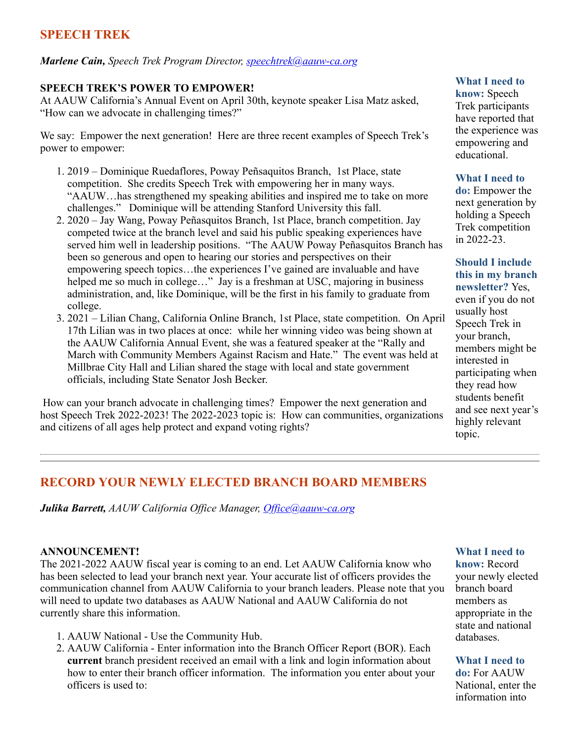# **SPEECH TREK**

#### *Marlene Cain, Speech Trek Program Director, [speechtrek@aauw-ca.org](mailto:speechtrek@aauw-ca.org)*

#### **SPEECH TREK'S POWER TO EMPOWER!**

At AAUW California's Annual Event on April 30th, keynote speaker Lisa Matz asked, "How can we advocate in challenging times?"

We say: Empower the next generation! Here are three recent examples of Speech Trek's power to empower:

- 1. 2019 Dominique Ruedaflores, Poway Peñsaquitos Branch, 1st Place, state competition. She credits Speech Trek with empowering her in many ways. "AAUW…has strengthened my speaking abilities and inspired me to take on more challenges." Dominique will be attending Stanford University this fall.
- 2. 2020 Jay Wang, Poway Peñasquitos Branch, 1st Place, branch competition. Jay competed twice at the branch level and said his public speaking experiences have served him well in leadership positions. "The AAUW Poway Peñasquitos Branch has been so generous and open to hearing our stories and perspectives on their empowering speech topics…the experiences I've gained are invaluable and have helped me so much in college..." Jay is a freshman at USC, majoring in business administration, and, like Dominique, will be the first in his family to graduate from college.
- 3. 2021 Lilian Chang, California Online Branch, 1st Place, state competition. On April 17th Lilian was in two places at once: while her winning video was being shown at the AAUW California Annual Event, she was a featured speaker at the "Rally and March with Community Members Against Racism and Hate." The event was held at Millbrae City Hall and Lilian shared the stage with local and state government officials, including State Senator Josh Becker.

How can your branch advocate in challenging times? Empower the next generation and host Speech Trek 2022-2023! The 2022-2023 topic is: How can communities, organizations and citizens of all ages help protect and expand voting rights?

#### **What I need to**

**know:** Speech Trek participants have reported that the experience was empowering and educational.

#### **What I need to**

**do:** Empower the next generation by holding a Speech Trek competition in 2022-23.

#### **Should I include this in my branch newsletter?** Yes,

even if you do not usually host Speech Trek in your branch, members might be interested in participating when they read how students benefit and see next year's highly relevant topic.

## **RECORD YOUR NEWLY ELECTED BRANCH BOARD MEMBERS**

*Julika Barrett, AAUW California Office Manager, [Office@aauw-ca.org](mailto:Office@aauw-ca.org)*

#### **ANNOUNCEMENT!**

The 2021-2022 AAUW fiscal year is coming to an end. Let AAUW California know who has been selected to lead your branch next year. Your accurate list of officers provides the communication channel from AAUW California to your branch leaders. Please note that you will need to update two databases as AAUW National and AAUW California do not currently share this information.

- 1. AAUW National Use the Community Hub.
- 2. AAUW California Enter information into the Branch Officer Report (BOR). Each **current** branch president received an email with a link and login information about how to enter their branch officer information. The information you enter about your officers is used to:

#### **What I need to**

**know:** Record your newly elected branch board members as appropriate in the state and national databases.

#### **What I need to**

**do:** For AAUW National, enter the information into